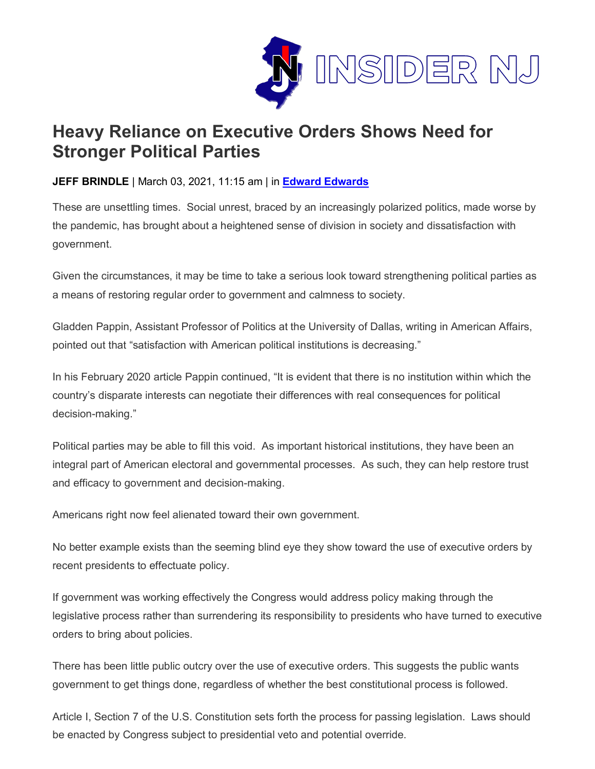

## **Heavy Reliance on Executive Orders Shows Need for Stronger Political Parties**

## **JEFF BRINDLE** | March 03, 2021, 11:15 am | in **[Edward Edwards](https://www.insidernj.com/category/edward-edwards/)**

These are unsettling times. Social unrest, braced by an increasingly polarized politics, made worse by the pandemic, has brought about a heightened sense of division in society and dissatisfaction with government.

Given the circumstances, it may be time to take a serious look toward strengthening political parties as a means of restoring regular order to government and calmness to society.

Gladden Pappin, Assistant Professor of Politics at the University of Dallas, writing in American Affairs, pointed out that "satisfaction with American political institutions is decreasing."

In his February 2020 article Pappin continued, "It is evident that there is no institution within which the country's disparate interests can negotiate their differences with real consequences for political decision-making."

Political parties may be able to fill this void. As important historical institutions, they have been an integral part of American electoral and governmental processes. As such, they can help restore trust and efficacy to government and decision-making.

Americans right now feel alienated toward their own government.

No better example exists than the seeming blind eye they show toward the use of executive orders by recent presidents to effectuate policy.

If government was working effectively the Congress would address policy making through the legislative process rather than surrendering its responsibility to presidents who have turned to executive orders to bring about policies.

There has been little public outcry over the use of executive orders. This suggests the public wants government to get things done, regardless of whether the best constitutional process is followed.

Article I, Section 7 of the U.S. Constitution sets forth the process for passing legislation. Laws should be enacted by Congress subject to presidential veto and potential override.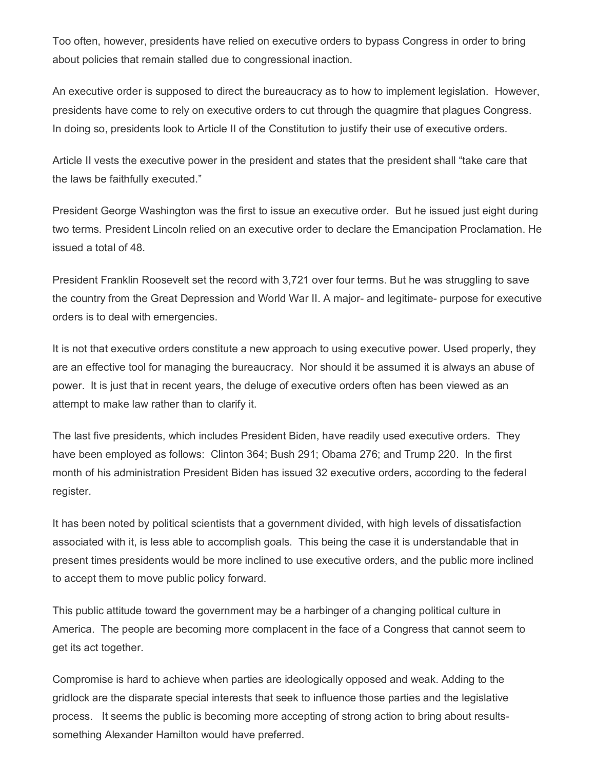Too often, however, presidents have relied on executive orders to bypass Congress in order to bring about policies that remain stalled due to congressional inaction.

An executive order is supposed to direct the bureaucracy as to how to implement legislation. However, presidents have come to rely on executive orders to cut through the quagmire that plagues Congress. In doing so, presidents look to Article II of the Constitution to justify their use of executive orders.

Article II vests the executive power in the president and states that the president shall "take care that the laws be faithfully executed."

President George Washington was the first to issue an executive order. But he issued just eight during two terms. President Lincoln relied on an executive order to declare the Emancipation Proclamation. He issued a total of 48.

President Franklin Roosevelt set the record with 3,721 over four terms. But he was struggling to save the country from the Great Depression and World War II. A major- and legitimate- purpose for executive orders is to deal with emergencies.

It is not that executive orders constitute a new approach to using executive power. Used properly, they are an effective tool for managing the bureaucracy. Nor should it be assumed it is always an abuse of power. It is just that in recent years, the deluge of executive orders often has been viewed as an attempt to make law rather than to clarify it.

The last five presidents, which includes President Biden, have readily used executive orders. They have been employed as follows: Clinton 364; Bush 291; Obama 276; and Trump 220. In the first month of his administration President Biden has issued 32 executive orders, according to the federal register.

It has been noted by political scientists that a government divided, with high levels of dissatisfaction associated with it, is less able to accomplish goals. This being the case it is understandable that in present times presidents would be more inclined to use executive orders, and the public more inclined to accept them to move public policy forward.

This public attitude toward the government may be a harbinger of a changing political culture in America. The people are becoming more complacent in the face of a Congress that cannot seem to get its act together.

Compromise is hard to achieve when parties are ideologically opposed and weak. Adding to the gridlock are the disparate special interests that seek to influence those parties and the legislative process. It seems the public is becoming more accepting of strong action to bring about resultssomething Alexander Hamilton would have preferred.